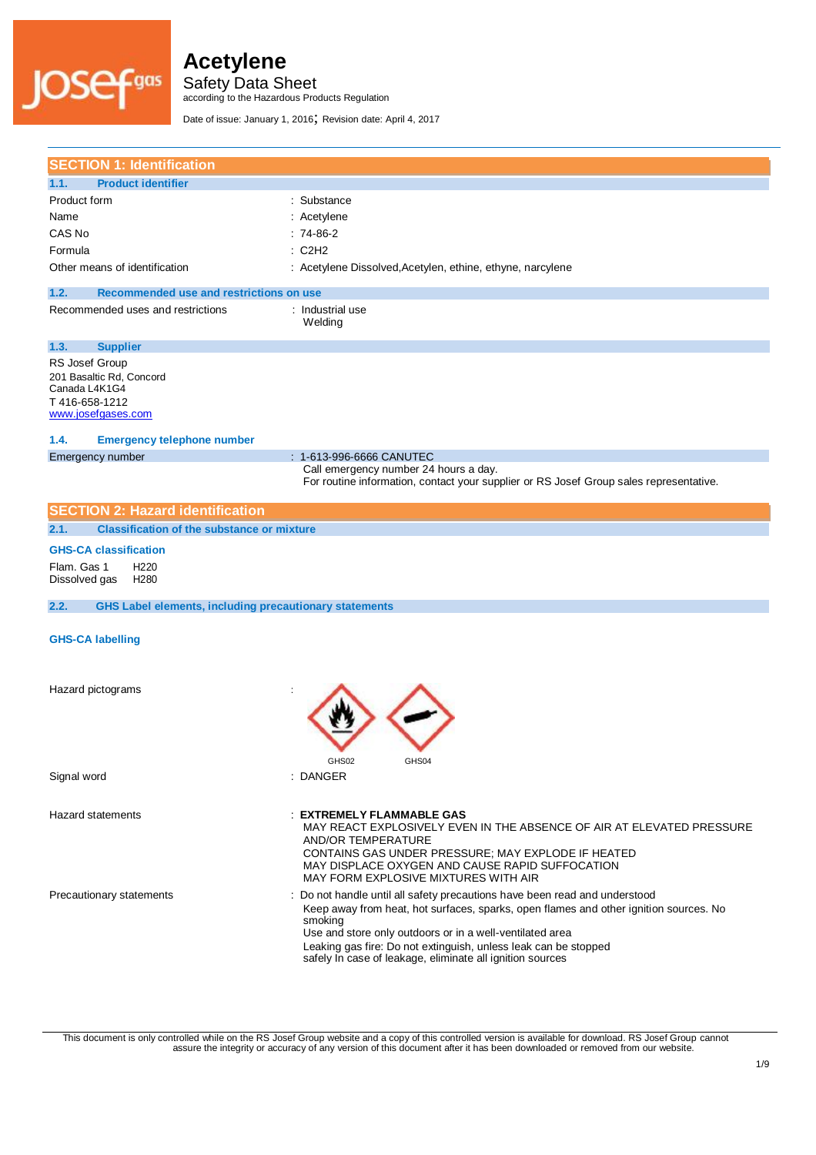

Safety Data Sheet

according to the Hazardous Products Regulation

Date of issue: January 1, 2016; Revision date: April 4, 2017

| <b>SECTION 1: Identification</b>                                                                   |                                                                                                                                                                                                                                                                                                                                                                            |
|----------------------------------------------------------------------------------------------------|----------------------------------------------------------------------------------------------------------------------------------------------------------------------------------------------------------------------------------------------------------------------------------------------------------------------------------------------------------------------------|
| <b>Product identifier</b><br>1.1.                                                                  |                                                                                                                                                                                                                                                                                                                                                                            |
| Product form                                                                                       | : Substance                                                                                                                                                                                                                                                                                                                                                                |
| Name                                                                                               | : Acetylene                                                                                                                                                                                                                                                                                                                                                                |
| CAS No                                                                                             | $:74-86-2$                                                                                                                                                                                                                                                                                                                                                                 |
| Formula                                                                                            | : C2H2                                                                                                                                                                                                                                                                                                                                                                     |
| Other means of identification                                                                      | : Acetylene Dissolved, Acetylen, ethine, ethyne, narcylene                                                                                                                                                                                                                                                                                                                 |
| 1.2.<br>Recommended use and restrictions on use                                                    |                                                                                                                                                                                                                                                                                                                                                                            |
| Recommended uses and restrictions                                                                  | : Industrial use<br>Welding                                                                                                                                                                                                                                                                                                                                                |
| 1.3.<br><b>Supplier</b>                                                                            |                                                                                                                                                                                                                                                                                                                                                                            |
| RS Josef Group<br>201 Basaltic Rd, Concord<br>Canada L4K1G4<br>T416-658-1212<br>www.josefgases.com |                                                                                                                                                                                                                                                                                                                                                                            |
| <b>Emergency telephone number</b><br>1.4.                                                          |                                                                                                                                                                                                                                                                                                                                                                            |
| Emergency number                                                                                   | : 1-613-996-6666 CANUTEC                                                                                                                                                                                                                                                                                                                                                   |
|                                                                                                    | Call emergency number 24 hours a day.<br>For routine information, contact your supplier or RS Josef Group sales representative.                                                                                                                                                                                                                                            |
| <b>SECTION 2: Hazard identification</b>                                                            |                                                                                                                                                                                                                                                                                                                                                                            |
| <b>Classification of the substance or mixture</b><br>2.1.                                          |                                                                                                                                                                                                                                                                                                                                                                            |
| <b>GHS-CA classification</b>                                                                       |                                                                                                                                                                                                                                                                                                                                                                            |
| Flam. Gas 1<br>H <sub>220</sub><br>Dissolved gas<br>H <sub>280</sub>                               |                                                                                                                                                                                                                                                                                                                                                                            |
| <b>GHS Label elements, including precautionary statements</b><br>2.2.                              |                                                                                                                                                                                                                                                                                                                                                                            |
| <b>GHS-CA labelling</b>                                                                            |                                                                                                                                                                                                                                                                                                                                                                            |
| Hazard pictograms                                                                                  | GHS02                                                                                                                                                                                                                                                                                                                                                                      |
| Signal word                                                                                        | : DANGER                                                                                                                                                                                                                                                                                                                                                                   |
| <b>Hazard statements</b>                                                                           | <b>EXTREMELY FLAMMABLE GAS</b><br>MAY REACT EXPLOSIVELY EVEN IN THE ABSENCE OF AIR AT ELEVATED PRESSURE<br>AND/OR TEMPERATURE<br>CONTAINS GAS UNDER PRESSURE; MAY EXPLODE IF HEATED<br>MAY DISPLACE OXYGEN AND CAUSE RAPID SUFFOCATION<br>MAY FORM EXPLOSIVE MIXTURES WITH AIR                                                                                             |
| Precautionary statements                                                                           | : Do not handle until all safety precautions have been read and understood<br>Keep away from heat, hot surfaces, sparks, open flames and other ignition sources. No<br>smoking<br>Use and store only outdoors or in a well-ventilated area<br>Leaking gas fire: Do not extinguish, unless leak can be stopped<br>safely In case of leakage, eliminate all ignition sources |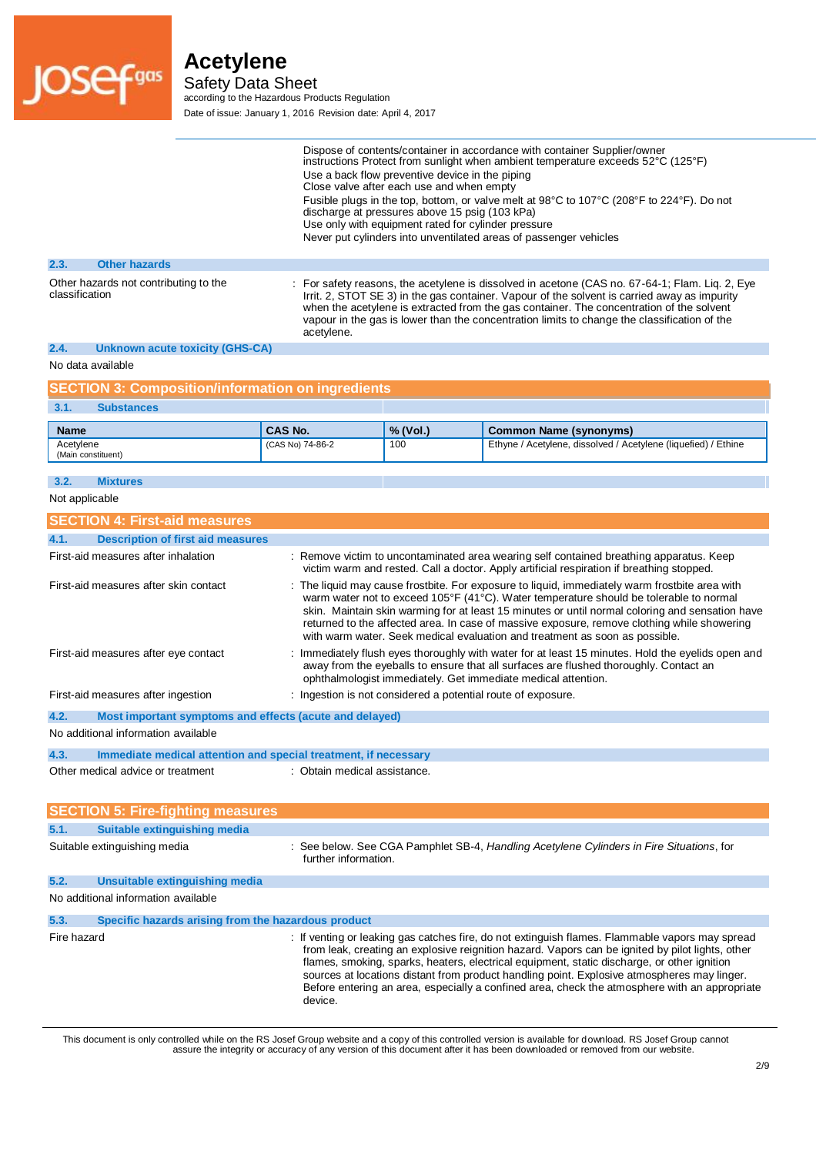

Safety Data Sheet

according to the Hazardous Products Regulation Date of issue: January 1, 2016 Revision date: April 4, 2017

|                                                         | Dispose of contents/container in accordance with container Supplier/owner<br>instructions Protect from sunlight when ambient temperature exceeds 52°C (125°F)<br>Use a back flow preventive device in the piping<br>Close valve after each use and when empty<br>Fusible plugs in the top, bottom, or valve melt at 98°C to 107°C (208°F to 224°F). Do not<br>discharge at pressures above 15 psig (103 kPa)<br>Use only with equipment rated for cylinder pressure<br>Never put cylinders into unventilated areas of passenger vehicles |
|---------------------------------------------------------|------------------------------------------------------------------------------------------------------------------------------------------------------------------------------------------------------------------------------------------------------------------------------------------------------------------------------------------------------------------------------------------------------------------------------------------------------------------------------------------------------------------------------------------|
| <b>Other hazards</b><br>2.3.                            |                                                                                                                                                                                                                                                                                                                                                                                                                                                                                                                                          |
| Other hazards not contributing to the<br>classification | : For safety reasons, the acetylene is dissolved in acetone (CAS no. 67-64-1; Flam. Lig. 2, Eye<br>Irrit. 2, STOT SE 3) in the gas container. Vapour of the solvent is carried away as impurity<br>when the acetylene is extracted from the gas container. The concentration of the solvent<br>vapour in the gas is lower than the concentration limits to change the classification of the<br>acetylene.                                                                                                                                |

### **2.4. Unknown acute toxicity (GHS-CA)**

No data available

| <b>SECTION 3: Composition/information on ingredients</b> |                  |          |                                                                |
|----------------------------------------------------------|------------------|----------|----------------------------------------------------------------|
| <b>Substances</b><br>3.1.                                |                  |          |                                                                |
| <b>Name</b>                                              | CAS No.          | % (Vol.) | Common Name (synonyms)                                         |
| Acetylene<br>(Main constituent)                          | (CAS No) 74-86-2 | 100      | Ethyne / Acetylene, dissolved / Acetylene (liquefied) / Ethine |

#### **3.2. Mixtures**

|  |  | Not applicable |  |
|--|--|----------------|--|
|--|--|----------------|--|

| <b>SECTION 4: First-aid measures</b>                            |                                                                                                                                                                                                                                                                                                                                                                                                                                                                           |  |  |
|-----------------------------------------------------------------|---------------------------------------------------------------------------------------------------------------------------------------------------------------------------------------------------------------------------------------------------------------------------------------------------------------------------------------------------------------------------------------------------------------------------------------------------------------------------|--|--|
| <b>Description of first aid measures</b><br>4.1.                |                                                                                                                                                                                                                                                                                                                                                                                                                                                                           |  |  |
| First-aid measures after inhalation                             | : Remove victim to uncontaminated area wearing self contained breathing apparatus. Keep<br>victim warm and rested. Call a doctor. Apply artificial respiration if breathing stopped.                                                                                                                                                                                                                                                                                      |  |  |
| First-aid measures after skin contact                           | : The liquid may cause frostbite. For exposure to liquid, immediately warm frostbite area with<br>warm water not to exceed 105°F (41°C). Water temperature should be tolerable to normal<br>skin. Maintain skin warming for at least 15 minutes or until normal coloring and sensation have<br>returned to the affected area. In case of massive exposure, remove clothing while showering<br>with warm water. Seek medical evaluation and treatment as soon as possible. |  |  |
| First-aid measures after eye contact                            | : Immediately flush eyes thoroughly with water for at least 15 minutes. Hold the eyelids open and<br>away from the eyeballs to ensure that all surfaces are flushed thoroughly. Contact an<br>ophthalmologist immediately. Get immediate medical attention.                                                                                                                                                                                                               |  |  |
| First-aid measures after ingestion                              | : Ingestion is not considered a potential route of exposure.                                                                                                                                                                                                                                                                                                                                                                                                              |  |  |
| 4.2.<br>Most important symptoms and effects (acute and delayed) |                                                                                                                                                                                                                                                                                                                                                                                                                                                                           |  |  |
| No additional information available                             |                                                                                                                                                                                                                                                                                                                                                                                                                                                                           |  |  |
| 4.3.                                                            | Immediate medical attention and special treatment, if necessary                                                                                                                                                                                                                                                                                                                                                                                                           |  |  |
| Other medical advice or treatment                               | : Obtain medical assistance.                                                                                                                                                                                                                                                                                                                                                                                                                                              |  |  |

|             | <b>SECTION 5: Fire-fighting measures</b>            |                                                                                                                                                                                                                                                                                                                                                                                                                                                                                                               |
|-------------|-----------------------------------------------------|---------------------------------------------------------------------------------------------------------------------------------------------------------------------------------------------------------------------------------------------------------------------------------------------------------------------------------------------------------------------------------------------------------------------------------------------------------------------------------------------------------------|
| 5.1.        | Suitable extinguishing media                        |                                                                                                                                                                                                                                                                                                                                                                                                                                                                                                               |
|             | Suitable extinguishing media                        | : See below. See CGA Pamphlet SB-4, Handling Acetylene Cylinders in Fire Situations, for<br>further information.                                                                                                                                                                                                                                                                                                                                                                                              |
| 5.2.        | Unsuitable extinguishing media                      |                                                                                                                                                                                                                                                                                                                                                                                                                                                                                                               |
|             | No additional information available                 |                                                                                                                                                                                                                                                                                                                                                                                                                                                                                                               |
| 5.3.        | Specific hazards arising from the hazardous product |                                                                                                                                                                                                                                                                                                                                                                                                                                                                                                               |
| Fire hazard |                                                     | : If venting or leaking gas catches fire, do not extinguish flames. Flammable vapors may spread<br>from leak, creating an explosive reignition hazard. Vapors can be ignited by pilot lights, other<br>flames, smoking, sparks, heaters, electrical equipment, static discharge, or other ignition<br>sources at locations distant from product handling point. Explosive atmospheres may linger.<br>Before entering an area, especially a confined area, check the atmosphere with an appropriate<br>device. |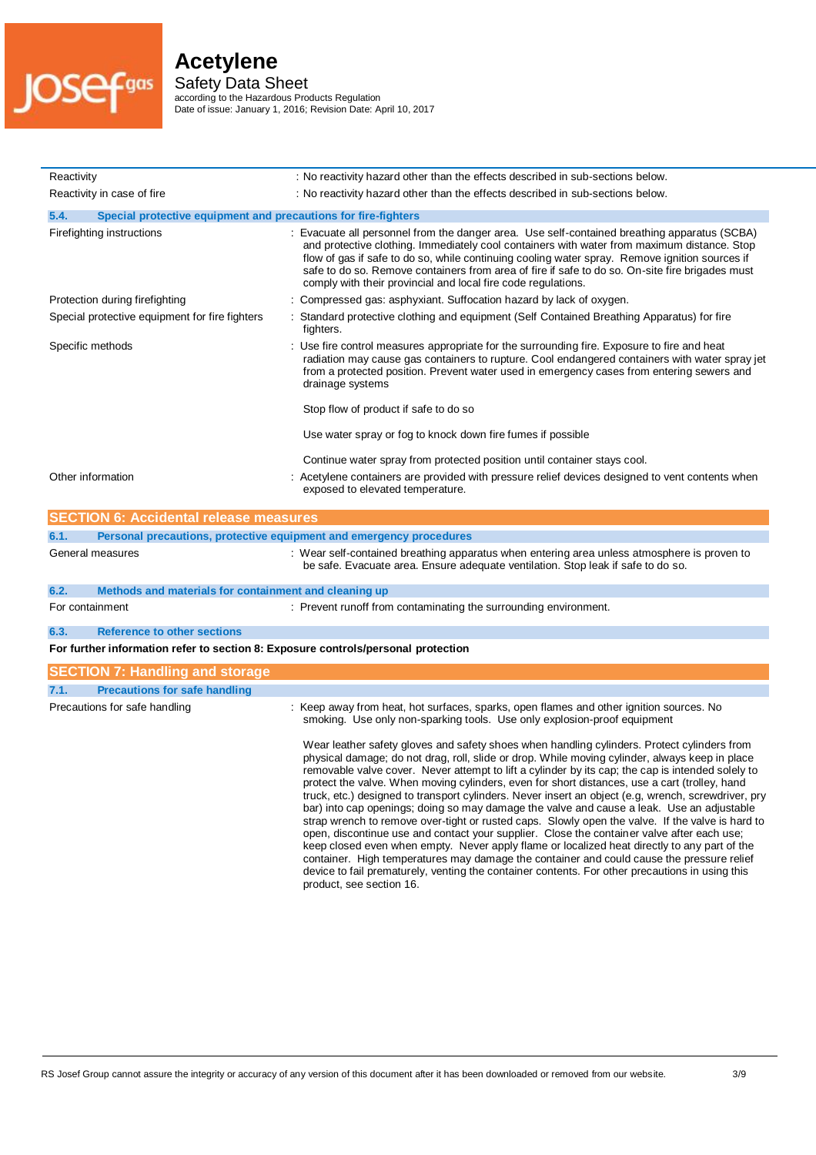

Safety Data Sheet

according to the Hazardous Products Regulation Date of issue: January 1, 2016; Revision Date: April 10, 2017

| Reactivity                                                                        | : No reactivity hazard other than the effects described in sub-sections below.                                                                                                                                                                                                                                                                                                                                                                                                                             |  |  |
|-----------------------------------------------------------------------------------|------------------------------------------------------------------------------------------------------------------------------------------------------------------------------------------------------------------------------------------------------------------------------------------------------------------------------------------------------------------------------------------------------------------------------------------------------------------------------------------------------------|--|--|
| Reactivity in case of fire                                                        | : No reactivity hazard other than the effects described in sub-sections below.                                                                                                                                                                                                                                                                                                                                                                                                                             |  |  |
| 5.4.<br>Special protective equipment and precautions for fire-fighters            |                                                                                                                                                                                                                                                                                                                                                                                                                                                                                                            |  |  |
| Firefighting instructions                                                         | : Evacuate all personnel from the danger area. Use self-contained breathing apparatus (SCBA)<br>and protective clothing. Immediately cool containers with water from maximum distance. Stop<br>flow of gas if safe to do so, while continuing cooling water spray. Remove ignition sources if<br>safe to do so. Remove containers from area of fire if safe to do so. On-site fire brigades must<br>comply with their provincial and local fire code regulations.                                          |  |  |
| Protection during firefighting                                                    | : Compressed gas: asphyxiant. Suffocation hazard by lack of oxygen.                                                                                                                                                                                                                                                                                                                                                                                                                                        |  |  |
| Special protective equipment for fire fighters                                    | : Standard protective clothing and equipment (Self Contained Breathing Apparatus) for fire<br>fighters.                                                                                                                                                                                                                                                                                                                                                                                                    |  |  |
| Specific methods                                                                  | : Use fire control measures appropriate for the surrounding fire. Exposure to fire and heat<br>radiation may cause gas containers to rupture. Cool endangered containers with water spray jet<br>from a protected position. Prevent water used in emergency cases from entering sewers and<br>drainage systems                                                                                                                                                                                             |  |  |
|                                                                                   | Stop flow of product if safe to do so                                                                                                                                                                                                                                                                                                                                                                                                                                                                      |  |  |
|                                                                                   | Use water spray or fog to knock down fire fumes if possible                                                                                                                                                                                                                                                                                                                                                                                                                                                |  |  |
|                                                                                   | Continue water spray from protected position until container stays cool.                                                                                                                                                                                                                                                                                                                                                                                                                                   |  |  |
| Other information                                                                 | : Acetylene containers are provided with pressure relief devices designed to vent contents when<br>exposed to elevated temperature.                                                                                                                                                                                                                                                                                                                                                                        |  |  |
| <b>SECTION 6: Accidental release measures</b>                                     |                                                                                                                                                                                                                                                                                                                                                                                                                                                                                                            |  |  |
| 6.1.                                                                              | Personal precautions, protective equipment and emergency procedures                                                                                                                                                                                                                                                                                                                                                                                                                                        |  |  |
| General measures                                                                  | : Wear self-contained breathing apparatus when entering area unless atmosphere is proven to<br>be safe. Evacuate area. Ensure adequate ventilation. Stop leak if safe to do so.                                                                                                                                                                                                                                                                                                                            |  |  |
| 6.2.<br>Methods and materials for containment and cleaning up                     |                                                                                                                                                                                                                                                                                                                                                                                                                                                                                                            |  |  |
| For containment                                                                   | : Prevent runoff from contaminating the surrounding environment.                                                                                                                                                                                                                                                                                                                                                                                                                                           |  |  |
| <b>Reference to other sections</b><br>6.3.                                        |                                                                                                                                                                                                                                                                                                                                                                                                                                                                                                            |  |  |
| For further information refer to section 8: Exposure controls/personal protection |                                                                                                                                                                                                                                                                                                                                                                                                                                                                                                            |  |  |
| <b>SECTION 7: Handling and storage</b>                                            |                                                                                                                                                                                                                                                                                                                                                                                                                                                                                                            |  |  |
| 7.1.<br><b>Precautions for safe handling</b>                                      |                                                                                                                                                                                                                                                                                                                                                                                                                                                                                                            |  |  |
| Precautions for safe handling                                                     | : Keep away from heat, hot surfaces, sparks, open flames and other ignition sources. No<br>smoking. Use only non-sparking tools. Use only explosion-proof equipment                                                                                                                                                                                                                                                                                                                                        |  |  |
|                                                                                   | Wear leather safety gloves and safety shoes when handling cylinders. Protect cylinders from<br>physical damage; do not drag, roll, slide or drop. While moving cylinder, always keep in place<br>removable valve cover. Never attempt to lift a cylinder by its cap; the cap is intended solely to<br>protect the valve. When moving cylinders, even for short distances, use a cart (trolley, hand<br>truck, etc.) designed to transport cylinders. Never insert an object (e.g. wrench, screwdriver, pry |  |  |

bar) into cap openings; doing so may damage the valve and cause a leak. Use an adjustable strap wrench to remove over-tight or rusted caps. Slowly open the valve. If the valve is hard to open, discontinue use and contact your supplier. Close the container valve after each use; keep closed even when empty. Never apply flame or localized heat directly to any part of the container. High temperatures may damage the container and could cause the pressure relief device to fail prematurely, venting the container contents. For other precautions in using this

product, see section 16.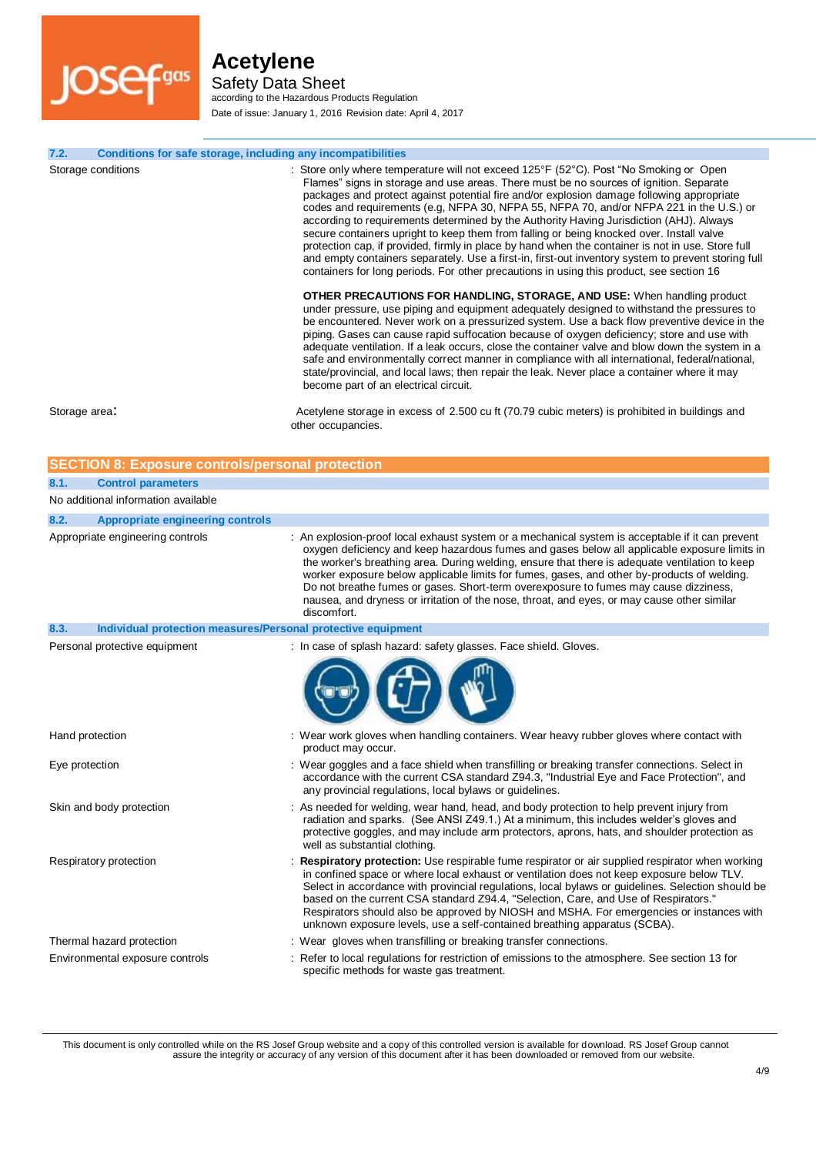**JOSef**gas

# **Acetylene**

Safety Data Sheet according to the Hazardous Products Regulation Date of issue: January 1, 2016 Revision date: April 4, 2017

| 7.2.            | Conditions for safe storage, including any incompatibilities |                                                                                                                                                                                                                                                                                                                                                                                                                                                                                                                                                                                                                                                                                                                                                                                                                                                                                                                                                                                                                                                                                                                                                                                                                                                                                                                                                                                                                                                                                                                                                                                                     |
|-----------------|--------------------------------------------------------------|-----------------------------------------------------------------------------------------------------------------------------------------------------------------------------------------------------------------------------------------------------------------------------------------------------------------------------------------------------------------------------------------------------------------------------------------------------------------------------------------------------------------------------------------------------------------------------------------------------------------------------------------------------------------------------------------------------------------------------------------------------------------------------------------------------------------------------------------------------------------------------------------------------------------------------------------------------------------------------------------------------------------------------------------------------------------------------------------------------------------------------------------------------------------------------------------------------------------------------------------------------------------------------------------------------------------------------------------------------------------------------------------------------------------------------------------------------------------------------------------------------------------------------------------------------------------------------------------------------|
|                 | Storage conditions                                           | : Store only where temperature will not exceed 125°F (52°C). Post "No Smoking or Open<br>Flames" signs in storage and use areas. There must be no sources of ignition. Separate<br>packages and protect against potential fire and/or explosion damage following appropriate<br>codes and requirements (e.g, NFPA 30, NFPA 55, NFPA 70, and/or NFPA 221 in the U.S.) or<br>according to requirements determined by the Authority Having Jurisdiction (AHJ). Always<br>secure containers upright to keep them from falling or being knocked over. Install valve<br>protection cap, if provided, firmly in place by hand when the container is not in use. Store full<br>and empty containers separately. Use a first-in, first-out inventory system to prevent storing full<br>containers for long periods. For other precautions in using this product, see section 16<br><b>OTHER PRECAUTIONS FOR HANDLING, STORAGE, AND USE:</b> When handling product<br>under pressure, use piping and equipment adequately designed to withstand the pressures to<br>be encountered. Never work on a pressurized system. Use a back flow preventive device in the<br>piping. Gases can cause rapid suffocation because of oxygen deficiency; store and use with<br>adequate ventilation. If a leak occurs, close the container valve and blow down the system in a<br>safe and environmentally correct manner in compliance with all international, federal/national,<br>state/provincial, and local laws; then repair the leak. Never place a container where it may<br>become part of an electrical circuit. |
| Storage area:   |                                                              | Acetylene storage in excess of 2.500 cu ft (70.79 cubic meters) is prohibited in buildings and<br>other occupancies.                                                                                                                                                                                                                                                                                                                                                                                                                                                                                                                                                                                                                                                                                                                                                                                                                                                                                                                                                                                                                                                                                                                                                                                                                                                                                                                                                                                                                                                                                |
|                 | <b>SECTION 8: Exposure controls/personal protection</b>      |                                                                                                                                                                                                                                                                                                                                                                                                                                                                                                                                                                                                                                                                                                                                                                                                                                                                                                                                                                                                                                                                                                                                                                                                                                                                                                                                                                                                                                                                                                                                                                                                     |
| 8.1.            | <b>Control parameters</b>                                    |                                                                                                                                                                                                                                                                                                                                                                                                                                                                                                                                                                                                                                                                                                                                                                                                                                                                                                                                                                                                                                                                                                                                                                                                                                                                                                                                                                                                                                                                                                                                                                                                     |
|                 | No additional information available                          |                                                                                                                                                                                                                                                                                                                                                                                                                                                                                                                                                                                                                                                                                                                                                                                                                                                                                                                                                                                                                                                                                                                                                                                                                                                                                                                                                                                                                                                                                                                                                                                                     |
|                 |                                                              |                                                                                                                                                                                                                                                                                                                                                                                                                                                                                                                                                                                                                                                                                                                                                                                                                                                                                                                                                                                                                                                                                                                                                                                                                                                                                                                                                                                                                                                                                                                                                                                                     |
| 8.2.            | <b>Appropriate engineering controls</b>                      |                                                                                                                                                                                                                                                                                                                                                                                                                                                                                                                                                                                                                                                                                                                                                                                                                                                                                                                                                                                                                                                                                                                                                                                                                                                                                                                                                                                                                                                                                                                                                                                                     |
|                 | Appropriate engineering controls                             | : An explosion-proof local exhaust system or a mechanical system is acceptable if it can prevent<br>oxygen deficiency and keep hazardous fumes and gases below all applicable exposure limits in<br>the worker's breathing area. During welding, ensure that there is adequate ventilation to keep<br>worker exposure below applicable limits for fumes, gases, and other by-products of welding.<br>Do not breathe fumes or gases. Short-term overexposure to fumes may cause dizziness,<br>nausea, and dryness or irritation of the nose, throat, and eyes, or may cause other similar<br>discomfort.                                                                                                                                                                                                                                                                                                                                                                                                                                                                                                                                                                                                                                                                                                                                                                                                                                                                                                                                                                                             |
| 8.3.            | Individual protection measures/Personal protective equipment |                                                                                                                                                                                                                                                                                                                                                                                                                                                                                                                                                                                                                                                                                                                                                                                                                                                                                                                                                                                                                                                                                                                                                                                                                                                                                                                                                                                                                                                                                                                                                                                                     |
|                 | Personal protective equipment                                | : In case of splash hazard: safety glasses. Face shield. Gloves.                                                                                                                                                                                                                                                                                                                                                                                                                                                                                                                                                                                                                                                                                                                                                                                                                                                                                                                                                                                                                                                                                                                                                                                                                                                                                                                                                                                                                                                                                                                                    |
|                 |                                                              |                                                                                                                                                                                                                                                                                                                                                                                                                                                                                                                                                                                                                                                                                                                                                                                                                                                                                                                                                                                                                                                                                                                                                                                                                                                                                                                                                                                                                                                                                                                                                                                                     |
| Hand protection |                                                              | : Wear work gloves when handling containers. Wear heavy rubber gloves where contact with<br>product may occur.                                                                                                                                                                                                                                                                                                                                                                                                                                                                                                                                                                                                                                                                                                                                                                                                                                                                                                                                                                                                                                                                                                                                                                                                                                                                                                                                                                                                                                                                                      |
| Eye protection  |                                                              | : Wear goggles and a face shield when transfilling or breaking transfer connections. Select in<br>accordance with the current CSA standard Z94.3, "Industrial Eye and Face Protection", and<br>any provincial regulations, local bylaws or guidelines.                                                                                                                                                                                                                                                                                                                                                                                                                                                                                                                                                                                                                                                                                                                                                                                                                                                                                                                                                                                                                                                                                                                                                                                                                                                                                                                                              |
|                 | Skin and body protection                                     | : As needed for welding, wear hand, head, and body protection to help prevent injury from<br>radiation and sparks. (See ANSI Z49.1.) At a minimum, this includes welder's gloves and<br>protective goggles, and may include arm protectors, aprons, hats, and shoulder protection as<br>well as substantial clothing.                                                                                                                                                                                                                                                                                                                                                                                                                                                                                                                                                                                                                                                                                                                                                                                                                                                                                                                                                                                                                                                                                                                                                                                                                                                                               |
|                 | Respiratory protection                                       | Respiratory protection: Use respirable fume respirator or air supplied respirator when working<br>in confined space or where local exhaust or ventilation does not keep exposure below TLV.<br>Select in accordance with provincial regulations, local bylaws or guidelines. Selection should be<br>based on the current CSA standard Z94.4, "Selection, Care, and Use of Respirators."<br>Respirators should also be approved by NIOSH and MSHA. For emergencies or instances with<br>unknown exposure levels, use a self-contained breathing apparatus (SCBA).                                                                                                                                                                                                                                                                                                                                                                                                                                                                                                                                                                                                                                                                                                                                                                                                                                                                                                                                                                                                                                    |
|                 | Thermal hazard protection                                    | : Wear gloves when transfilling or breaking transfer connections.                                                                                                                                                                                                                                                                                                                                                                                                                                                                                                                                                                                                                                                                                                                                                                                                                                                                                                                                                                                                                                                                                                                                                                                                                                                                                                                                                                                                                                                                                                                                   |
|                 | Environmental exposure controls                              | : Refer to local regulations for restriction of emissions to the atmosphere. See section 13 for<br>specific methods for waste gas treatment.                                                                                                                                                                                                                                                                                                                                                                                                                                                                                                                                                                                                                                                                                                                                                                                                                                                                                                                                                                                                                                                                                                                                                                                                                                                                                                                                                                                                                                                        |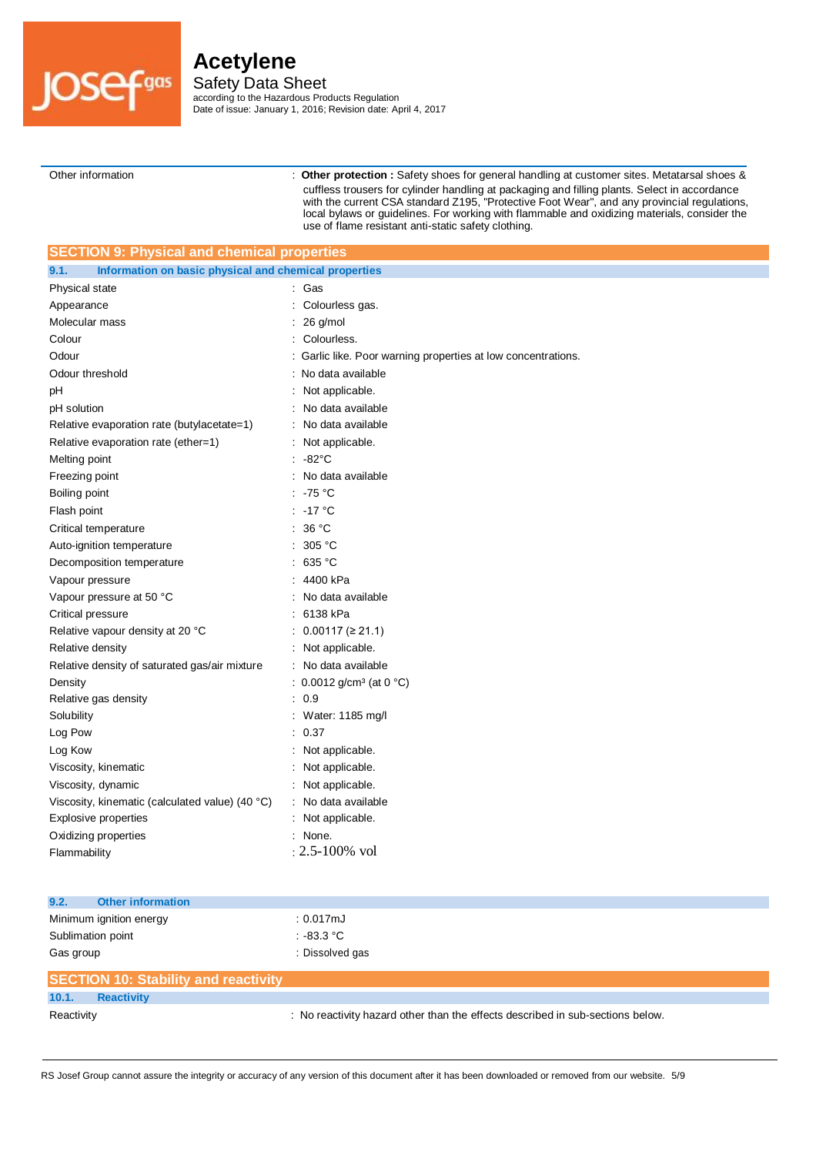

Safety Data Sheet according to the Hazardous Products Regulation Date of issue: January 1, 2016; Revision date: April 4, 2017

Other information : **Other protection :** Safety shoes for general handling at customer sites. Metatarsal shoes & cuffless trousers for cylinder handling at packaging and filling plants. Select in accordance with the current CSA standard Z195, "Protective Foot Wear", and any provincial regulations, local bylaws or guidelines. For working with flammable and oxidizing materials, consider the use of flame resistant anti-static safety clothing.

| <b>SECTION 9: Physical and chemical properties</b>            |                                                             |  |  |
|---------------------------------------------------------------|-------------------------------------------------------------|--|--|
| Information on basic physical and chemical properties<br>9.1. |                                                             |  |  |
| Physical state                                                | : Gas                                                       |  |  |
| Appearance                                                    | Colourless gas.                                             |  |  |
| Molecular mass                                                | 26 g/mol                                                    |  |  |
| Colour                                                        | Colourless.                                                 |  |  |
| Odour                                                         | Garlic like. Poor warning properties at low concentrations. |  |  |
| Odour threshold                                               | No data available                                           |  |  |
| рH                                                            | Not applicable.                                             |  |  |
| pH solution                                                   | No data available                                           |  |  |
| Relative evaporation rate (butylacetate=1)                    | No data available                                           |  |  |
| Relative evaporation rate (ether=1)                           | Not applicable.                                             |  |  |
| Melting point                                                 | $-82^{\circ}$ C                                             |  |  |
| Freezing point                                                | No data available                                           |  |  |
| Boiling point                                                 | $-75 °C$                                                    |  |  |
| Flash point                                                   | : -17 °C                                                    |  |  |
| Critical temperature                                          | : 36 $^{\circ}$ C                                           |  |  |
| Auto-ignition temperature                                     | 305 °C                                                      |  |  |
| Decomposition temperature                                     | 635 °C                                                      |  |  |
| Vapour pressure                                               | 4400 kPa                                                    |  |  |
| Vapour pressure at 50 °C                                      | No data available                                           |  |  |
| Critical pressure                                             | 6138 kPa                                                    |  |  |
| Relative vapour density at 20 °C                              | $0.00117 \, ( \geq 21.1 )$                                  |  |  |
| Relative density                                              | Not applicable.                                             |  |  |
| Relative density of saturated gas/air mixture                 | No data available                                           |  |  |
| Density                                                       | : $0.0012$ g/cm <sup>3</sup> (at 0 °C)                      |  |  |
| Relative gas density                                          | 0.9                                                         |  |  |
| Solubility                                                    | Water: 1185 mg/l                                            |  |  |
| Log Pow                                                       | 0.37                                                        |  |  |
| Log Kow                                                       | Not applicable.                                             |  |  |
| Viscosity, kinematic                                          | Not applicable.                                             |  |  |
| Viscosity, dynamic                                            | Not applicable.                                             |  |  |
| Viscosity, kinematic (calculated value) (40 °C)               | No data available                                           |  |  |
| Explosive properties                                          | Not applicable.                                             |  |  |
| Oxidizing properties                                          | : None.                                                     |  |  |
| Flammability                                                  | $: 2.5 - 100\%$ vol                                         |  |  |
|                                                               |                                                             |  |  |

| 9.2.<br><b>Other information</b>            |                                                                                |
|---------------------------------------------|--------------------------------------------------------------------------------|
| Minimum ignition energy                     | $: 0.017 \mathrm{mJ}$                                                          |
| Sublimation point                           | $.83.3 \degree$ C                                                              |
| Gas group                                   | : Dissolved gas                                                                |
| <b>SECTION 10: Stability and reactivity</b> |                                                                                |
| 10.1.<br><b>Reactivity</b>                  |                                                                                |
| Reactivity                                  | : No reactivity hazard other than the effects described in sub-sections below. |

RS Josef Group cannot assure the integrity or accuracy of any version of this document after it has been downloaded or removed from our website. 5/9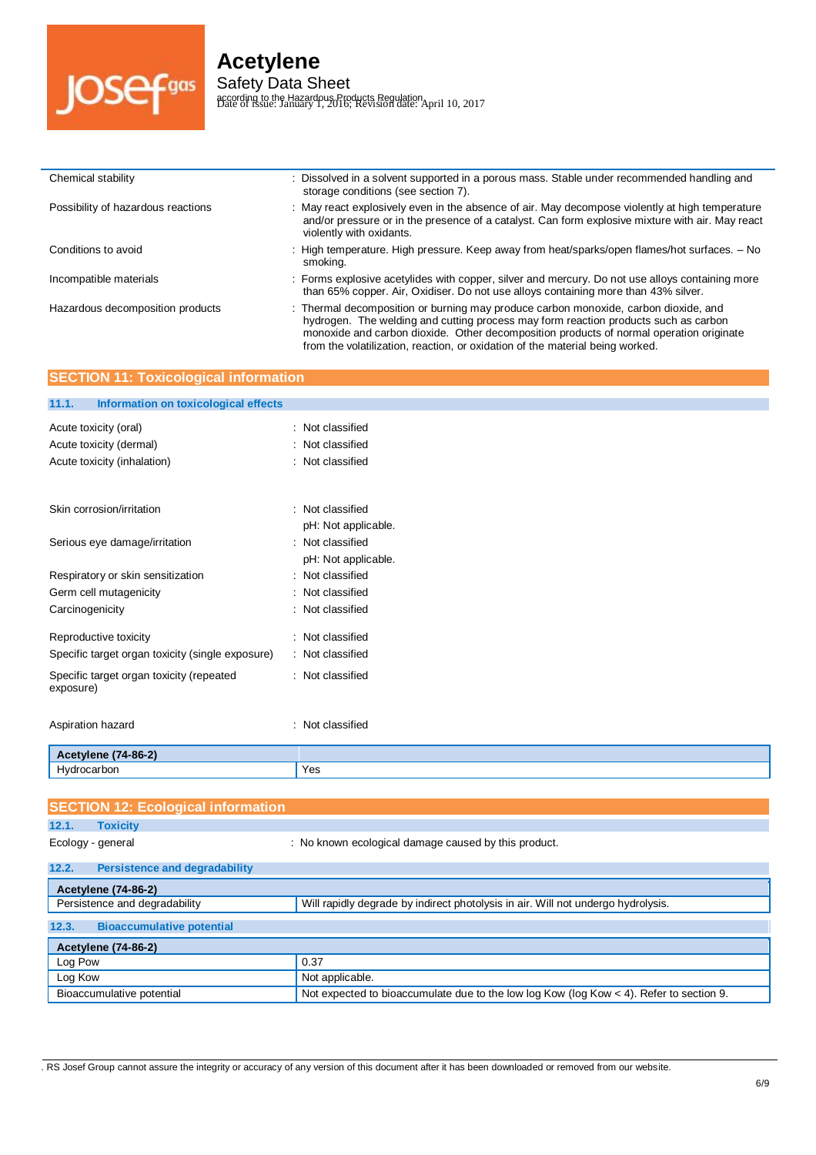

### **Acetylene** Safety Data Sheet

according to the Hazardous Products Regulation Date of issue: January 1, 2016; Revision date: April 10, 2017

| Chemical stability                 | Dissolved in a solvent supported in a porous mass. Stable under recommended handling and<br>storage conditions (see section 7).                                                                                                                                       |
|------------------------------------|-----------------------------------------------------------------------------------------------------------------------------------------------------------------------------------------------------------------------------------------------------------------------|
| Possibility of hazardous reactions | : May react explosively even in the absence of air. May decompose violently at high temperature<br>and/or pressure or in the presence of a catalyst. Can form explosive mixture with air. May react<br>violently with oxidants.                                       |
| Conditions to avoid                | : High temperature. High pressure. Keep away from heat/sparks/open flames/hot surfaces. - No<br>smokina.                                                                                                                                                              |
| Incompatible materials             | : Forms explosive acetylides with copper, silver and mercury. Do not use alloys containing more<br>than 65% copper. Air, Oxidiser. Do not use alloys containing more than 43% silver.                                                                                 |
| Hazardous decomposition products   | : Thermal decomposition or burning may produce carbon monoxide, carbon dioxide, and<br>hydrogen. The welding and cutting process may form reaction products such as carbon<br>monoxide and carbon dioxide. Other decomposition products of normal operation originate |

from the volatilization, reaction, or oxidation of the material being worked.

| <b>SECTION 11: Toxicological information</b>          |                                         |  |
|-------------------------------------------------------|-----------------------------------------|--|
| 11.1.<br>Information on toxicological effects         |                                         |  |
| Acute toxicity (oral)                                 | : Not classified                        |  |
| Acute toxicity (dermal)                               | Not classified                          |  |
| Acute toxicity (inhalation)                           | : Not classified                        |  |
| Skin corrosion/irritation                             | : Not classified                        |  |
| Serious eye damage/irritation                         | pH: Not applicable.<br>: Not classified |  |
|                                                       | pH: Not applicable.                     |  |
| Respiratory or skin sensitization                     | Not classified                          |  |
| Germ cell mutagenicity                                | Not classified                          |  |
| Carcinogenicity                                       | : Not classified                        |  |
| Reproductive toxicity                                 | Not classified                          |  |
| Specific target organ toxicity (single exposure)      | : Not classified                        |  |
| Specific target organ toxicity (repeated<br>exposure) | : Not classified                        |  |
| Aspiration hazard                                     | Not classified<br>٠                     |  |
| <b>Acetylene (74-86-2)</b>                            |                                         |  |
| Hydrocarbon                                           | Yes                                     |  |
|                                                       |                                         |  |
| <b>SECTION 12: Ecological information</b>             |                                         |  |
|                                                       |                                         |  |

| 12.1.<br><b>Toxicity</b>                      |                                                                                           |
|-----------------------------------------------|-------------------------------------------------------------------------------------------|
| Ecology - general                             | : No known ecological damage caused by this product.                                      |
| 12.2.<br><b>Persistence and degradability</b> |                                                                                           |
| <b>Acetylene (74-86-2)</b>                    |                                                                                           |
| Persistence and degradability                 | Will rapidly degrade by indirect photolysis in air. Will not undergo hydrolysis.          |
| 12.3.<br><b>Bioaccumulative potential</b>     |                                                                                           |
|                                               |                                                                                           |
| <b>Acetylene (74-86-2)</b>                    |                                                                                           |
| Log Pow                                       | 0.37                                                                                      |
| Log Kow                                       | Not applicable.                                                                           |
| Bioaccumulative potential                     | Not expected to bioaccumulate due to the low log Kow (log Kow $<$ 4). Refer to section 9. |

. RS Josef Group cannot assure the integrity or accuracy of any version of this document after it has been downloaded or removed from our website.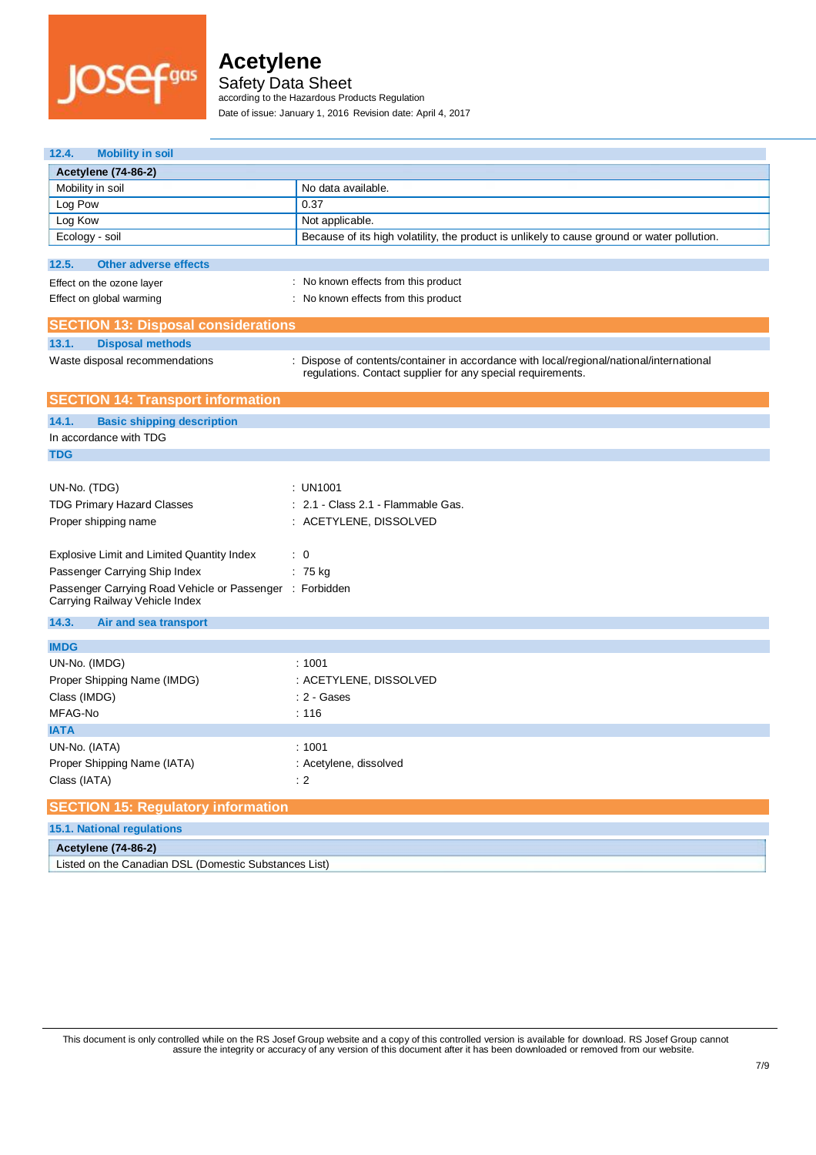

Safety Data Sheet

according to the Hazardous Products Regulation

Date of issue: January 1, 2016 Revision date: April 4, 2017

| <b>Mobility in soil</b><br>12.4.                                                           |                                                                                                                                                         |  |
|--------------------------------------------------------------------------------------------|---------------------------------------------------------------------------------------------------------------------------------------------------------|--|
| <b>Acetylene (74-86-2)</b>                                                                 |                                                                                                                                                         |  |
| Mobility in soil                                                                           | No data available.                                                                                                                                      |  |
| Log Pow                                                                                    | 0.37                                                                                                                                                    |  |
| Log Kow                                                                                    | Not applicable.                                                                                                                                         |  |
| Ecology - soil                                                                             | Because of its high volatility, the product is unlikely to cause ground or water pollution.                                                             |  |
|                                                                                            |                                                                                                                                                         |  |
| 12.5.<br><b>Other adverse effects</b>                                                      |                                                                                                                                                         |  |
| Effect on the ozone layer                                                                  | : No known effects from this product                                                                                                                    |  |
| Effect on global warming                                                                   | : No known effects from this product                                                                                                                    |  |
| <b>SECTION 13: Disposal considerations</b>                                                 |                                                                                                                                                         |  |
| 13.1.<br><b>Disposal methods</b>                                                           |                                                                                                                                                         |  |
| Waste disposal recommendations                                                             | : Dispose of contents/container in accordance with local/regional/national/international<br>regulations. Contact supplier for any special requirements. |  |
| <b>SECTION 14: Transport information</b>                                                   |                                                                                                                                                         |  |
| 14.1.<br><b>Basic shipping description</b>                                                 |                                                                                                                                                         |  |
| In accordance with TDG                                                                     |                                                                                                                                                         |  |
| <b>TDG</b>                                                                                 |                                                                                                                                                         |  |
|                                                                                            |                                                                                                                                                         |  |
| UN-No. (TDG)                                                                               | : UN1001                                                                                                                                                |  |
| <b>TDG Primary Hazard Classes</b>                                                          | : 2.1 - Class 2.1 - Flammable Gas.                                                                                                                      |  |
| Proper shipping name                                                                       | : ACETYLENE, DISSOLVED                                                                                                                                  |  |
|                                                                                            |                                                                                                                                                         |  |
| Explosive Limit and Limited Quantity Index                                                 | $\therefore$ 0                                                                                                                                          |  |
| Passenger Carrying Ship Index                                                              | $: 75$ kg                                                                                                                                               |  |
| Passenger Carrying Road Vehicle or Passenger : Forbidden<br>Carrying Railway Vehicle Index |                                                                                                                                                         |  |
| 14.3.<br>Air and sea transport                                                             |                                                                                                                                                         |  |
| <b>IMDG</b>                                                                                |                                                                                                                                                         |  |
| UN-No. (IMDG)                                                                              | :1001                                                                                                                                                   |  |
|                                                                                            |                                                                                                                                                         |  |
| Proper Shipping Name (IMDG)                                                                | : ACETYLENE, DISSOLVED                                                                                                                                  |  |
| Class (IMDG)                                                                               | : 2 - Gases                                                                                                                                             |  |
| MFAG-No                                                                                    | : 116                                                                                                                                                   |  |
| <b>IATA</b>                                                                                |                                                                                                                                                         |  |
| UN-No. (IATA)                                                                              | :1001                                                                                                                                                   |  |
| Proper Shipping Name (IATA)                                                                | : Acetylene, dissolved                                                                                                                                  |  |
| Class (IATA)                                                                               | $\cdot$ 2                                                                                                                                               |  |
| <b>SECTION 15: Regulatory information</b>                                                  |                                                                                                                                                         |  |
| <b>15.1. National regulations</b>                                                          |                                                                                                                                                         |  |
| <b>Acetylene (74-86-2)</b>                                                                 |                                                                                                                                                         |  |
| Listed on the Canadian DSL (Domestic Substances List)                                      |                                                                                                                                                         |  |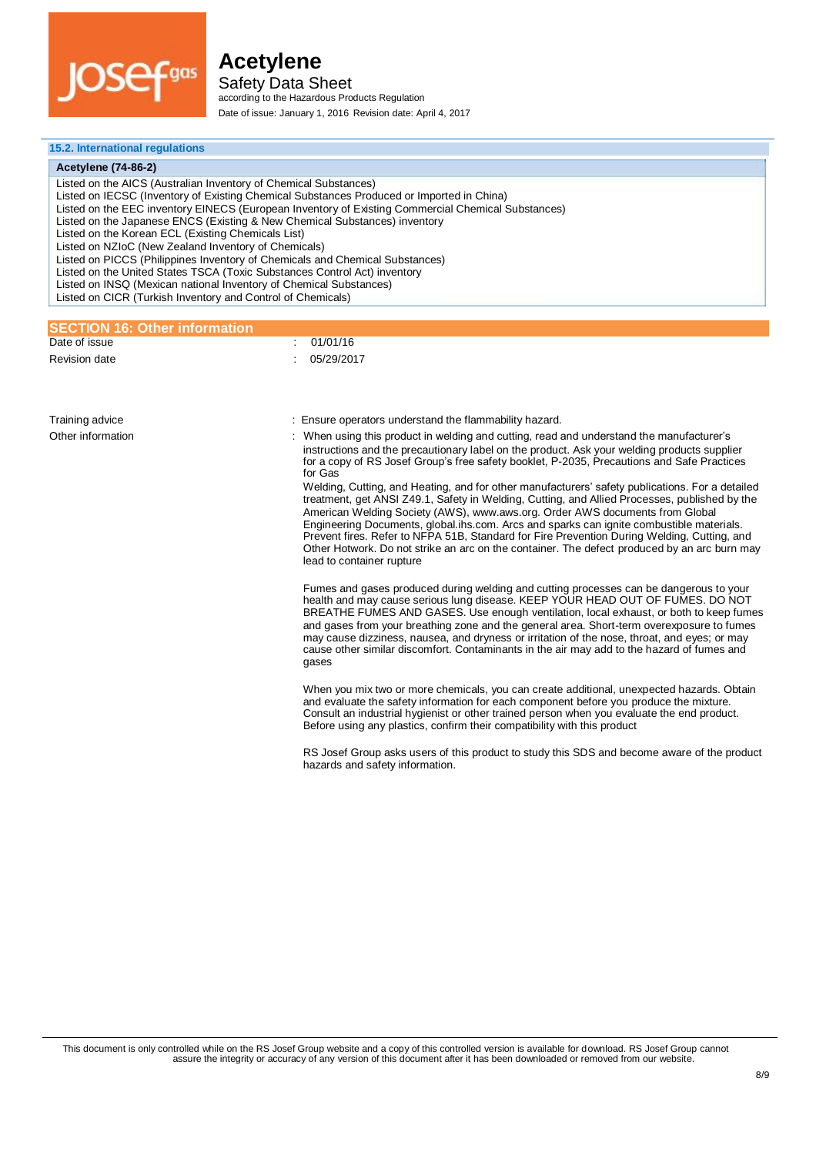

Safety Data Sheet according to the Hazardous Products Regulation Date of issue: January 1, 2016 Revision date: April 4, 2017

#### **15.2. International regulations**

| 15.2. International regulations                                                                                                                                                                                                                                                                                                                                                                                                                                                                                                                                                                                                                                                                                                                                   |                                                                                                                                                                                                                                                                                                                                                                                                                                                                                                                                                                                                          |  |  |
|-------------------------------------------------------------------------------------------------------------------------------------------------------------------------------------------------------------------------------------------------------------------------------------------------------------------------------------------------------------------------------------------------------------------------------------------------------------------------------------------------------------------------------------------------------------------------------------------------------------------------------------------------------------------------------------------------------------------------------------------------------------------|----------------------------------------------------------------------------------------------------------------------------------------------------------------------------------------------------------------------------------------------------------------------------------------------------------------------------------------------------------------------------------------------------------------------------------------------------------------------------------------------------------------------------------------------------------------------------------------------------------|--|--|
| <b>Acetylene (74-86-2)</b>                                                                                                                                                                                                                                                                                                                                                                                                                                                                                                                                                                                                                                                                                                                                        |                                                                                                                                                                                                                                                                                                                                                                                                                                                                                                                                                                                                          |  |  |
| Listed on the AICS (Australian Inventory of Chemical Substances)<br>Listed on IECSC (Inventory of Existing Chemical Substances Produced or Imported in China)<br>Listed on the EEC inventory EINECS (European Inventory of Existing Commercial Chemical Substances)<br>Listed on the Japanese ENCS (Existing & New Chemical Substances) inventory<br>Listed on the Korean ECL (Existing Chemicals List)<br>Listed on NZIoC (New Zealand Inventory of Chemicals)<br>Listed on PICCS (Philippines Inventory of Chemicals and Chemical Substances)<br>Listed on the United States TSCA (Toxic Substances Control Act) inventory<br>Listed on INSQ (Mexican national Inventory of Chemical Substances)<br>Listed on CICR (Turkish Inventory and Control of Chemicals) |                                                                                                                                                                                                                                                                                                                                                                                                                                                                                                                                                                                                          |  |  |
|                                                                                                                                                                                                                                                                                                                                                                                                                                                                                                                                                                                                                                                                                                                                                                   |                                                                                                                                                                                                                                                                                                                                                                                                                                                                                                                                                                                                          |  |  |
| <b>SECTION 16: Other information</b><br>Date of issue                                                                                                                                                                                                                                                                                                                                                                                                                                                                                                                                                                                                                                                                                                             | 01/01/16<br>÷                                                                                                                                                                                                                                                                                                                                                                                                                                                                                                                                                                                            |  |  |
| Revision date                                                                                                                                                                                                                                                                                                                                                                                                                                                                                                                                                                                                                                                                                                                                                     | 05/29/2017                                                                                                                                                                                                                                                                                                                                                                                                                                                                                                                                                                                               |  |  |
| Training advice<br>Other information                                                                                                                                                                                                                                                                                                                                                                                                                                                                                                                                                                                                                                                                                                                              | : Ensure operators understand the flammability hazard.<br>When using this product in welding and cutting, read and understand the manufacturer's<br>instructions and the precautionary label on the product. Ask your welding products supplier<br>for a copy of RS Josef Group's free safety booklet, P-2035, Precautions and Safe Practices<br>for Gas                                                                                                                                                                                                                                                 |  |  |
|                                                                                                                                                                                                                                                                                                                                                                                                                                                                                                                                                                                                                                                                                                                                                                   | Welding, Cutting, and Heating, and for other manufacturers' safety publications. For a detailed<br>treatment, get ANSI Z49.1, Safety in Welding, Cutting, and Allied Processes, published by the<br>American Welding Society (AWS), www.aws.org. Order AWS documents from Global<br>Engineering Documents, global.ihs.com. Arcs and sparks can ignite combustible materials.<br>Prevent fires. Refer to NFPA 51B, Standard for Fire Prevention During Welding, Cutting, and<br>Other Hotwork. Do not strike an arc on the container. The defect produced by an arc burn may<br>lead to container rupture |  |  |
|                                                                                                                                                                                                                                                                                                                                                                                                                                                                                                                                                                                                                                                                                                                                                                   | Fumes and gases produced during welding and cutting processes can be dangerous to your<br>health and may cause serious lung disease. KEEP YOUR HEAD OUT OF FUMES. DO NOT<br>BREATHE FUMES AND GASES. Use enough ventilation, local exhaust, or both to keep fumes<br>and gases from your breathing zone and the general area. Short-term overexposure to fumes<br>may cause dizziness, nausea, and dryness or irritation of the nose, throat, and eyes; or may<br>cause other similar discomfort. Contaminants in the air may add to the hazard of fumes and<br>gases                                    |  |  |

When you mix two or more chemicals, you can create additional, unexpected hazards. Obtain and evaluate the safety information for each component before you produce the mixture. Consult an industrial hygienist or other trained person when you evaluate the end product. Before using any plastics, confirm their compatibility with this product

RS Josef Group asks users of this product to study this SDS and become aware of the product hazards and safety information.